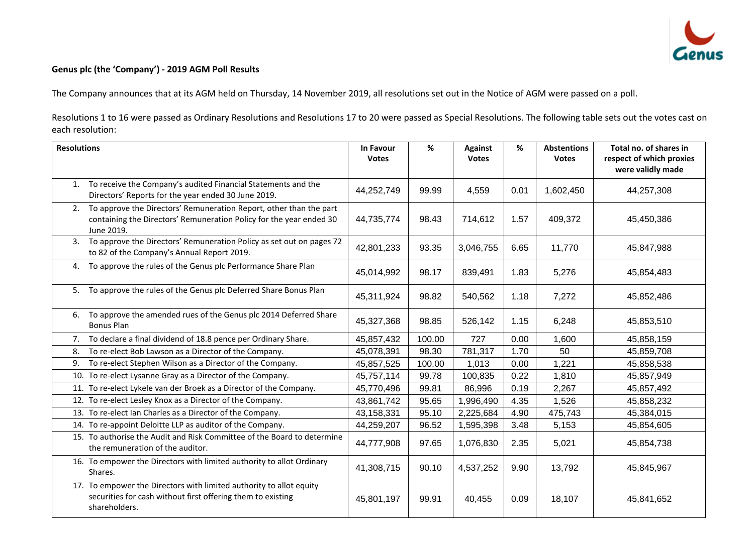

## **Genus plc (the 'Company') - 2019 AGM Poll Results**

The Company announces that at its AGM held on Thursday, 14 November 2019, all resolutions set out in the Notice of AGM were passed on a poll.

Resolutions 1 to 16 were passed as Ordinary Resolutions and Resolutions 17 to 20 were passed as Special Resolutions. The following table sets out the votes cast on each resolution:

| <b>Resolutions</b> |                                                                                                                                                         | In Favour<br><b>Votes</b> | %      | <b>Against</b><br><b>Votes</b> | %    | <b>Abstentions</b><br><b>Votes</b> | Total no. of shares in<br>respect of which proxies<br>were validly made |
|--------------------|---------------------------------------------------------------------------------------------------------------------------------------------------------|---------------------------|--------|--------------------------------|------|------------------------------------|-------------------------------------------------------------------------|
| 1.                 | To receive the Company's audited Financial Statements and the<br>Directors' Reports for the year ended 30 June 2019.                                    | 44,252,749                | 99.99  | 4,559                          | 0.01 | 1,602,450                          | 44,257,308                                                              |
| 2.                 | To approve the Directors' Remuneration Report, other than the part<br>containing the Directors' Remuneration Policy for the year ended 30<br>June 2019. | 44,735,774                | 98.43  | 714,612                        | 1.57 | 409,372                            | 45,450,386                                                              |
|                    | 3. To approve the Directors' Remuneration Policy as set out on pages 72<br>to 82 of the Company's Annual Report 2019.                                   | 42,801,233                | 93.35  | 3,046,755                      | 6.65 | 11,770                             | 45,847,988                                                              |
| 4.                 | To approve the rules of the Genus plc Performance Share Plan                                                                                            | 45,014,992                | 98.17  | 839,491                        | 1.83 | 5,276                              | 45,854,483                                                              |
| 5.                 | To approve the rules of the Genus plc Deferred Share Bonus Plan                                                                                         | 45,311,924                | 98.82  | 540,562                        | 1.18 | 7,272                              | 45,852,486                                                              |
| 6.                 | To approve the amended rues of the Genus plc 2014 Deferred Share<br><b>Bonus Plan</b>                                                                   | 45,327,368                | 98.85  | 526,142                        | 1.15 | 6,248                              | 45,853,510                                                              |
| 7.                 | To declare a final dividend of 18.8 pence per Ordinary Share.                                                                                           | 45,857,432                | 100.00 | 727                            | 0.00 | 1,600                              | 45,858,159                                                              |
| 8.                 | To re-elect Bob Lawson as a Director of the Company.                                                                                                    | 45,078,391                | 98.30  | 781,317                        | 1.70 | 50                                 | 45,859,708                                                              |
| 9.                 | To re-elect Stephen Wilson as a Director of the Company.                                                                                                | 45,857,525                | 100.00 | 1,013                          | 0.00 | 1,221                              | 45,858,538                                                              |
|                    | 10. To re-elect Lysanne Gray as a Director of the Company.                                                                                              | 45,757,114                | 99.78  | 100,835                        | 0.22 | 1,810                              | 45,857,949                                                              |
|                    | 11. To re-elect Lykele van der Broek as a Director of the Company.                                                                                      | 45,770,496                | 99.81  | 86,996                         | 0.19 | 2,267                              | 45,857,492                                                              |
|                    | 12. To re-elect Lesley Knox as a Director of the Company.                                                                                               | 43,861,742                | 95.65  | 1,996,490                      | 4.35 | 1,526                              | 45,858,232                                                              |
|                    | 13. To re-elect Ian Charles as a Director of the Company.                                                                                               | 43,158,331                | 95.10  | 2,225,684                      | 4.90 | 475,743                            | 45,384,015                                                              |
|                    | 14. To re-appoint Deloitte LLP as auditor of the Company.                                                                                               | 44,259,207                | 96.52  | 1,595,398                      | 3.48 | 5,153                              | 45,854,605                                                              |
|                    | 15. To authorise the Audit and Risk Committee of the Board to determine<br>the remuneration of the auditor.                                             | 44,777,908                | 97.65  | 1,076,830                      | 2.35 | 5,021                              | 45,854,738                                                              |
|                    | 16. To empower the Directors with limited authority to allot Ordinary<br>Shares.                                                                        | 41,308,715                | 90.10  | 4,537,252                      | 9.90 | 13,792                             | 45,845,967                                                              |
|                    | 17. To empower the Directors with limited authority to allot equity<br>securities for cash without first offering them to existing<br>shareholders.     | 45,801,197                | 99.91  | 40,455                         | 0.09 | 18,107                             | 45,841,652                                                              |